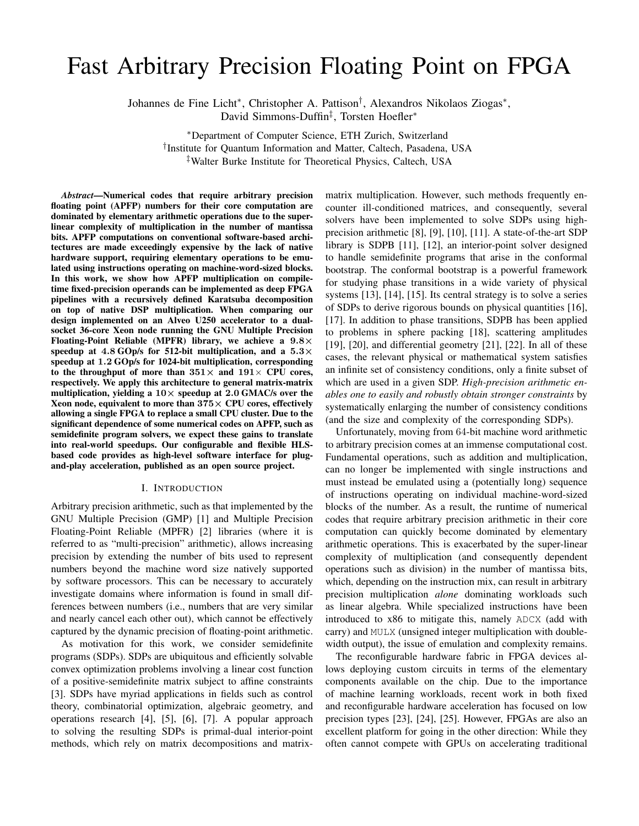# Fast Arbitrary Precision Floating Point on FPGA

Johannes de Fine Licht<sup>∗</sup> , Christopher A. Pattison† , Alexandros Nikolaos Ziogas<sup>∗</sup> , David Simmons-Duffin‡ , Torsten Hoefler<sup>∗</sup>

<sup>∗</sup>Department of Computer Science, ETH Zurich, Switzerland

† Institute for Quantum Information and Matter, Caltech, Pasadena, USA

‡Walter Burke Institute for Theoretical Physics, Caltech, USA

*Abstract*—Numerical codes that require arbitrary precision floating point (APFP) numbers for their core computation are dominated by elementary arithmetic operations due to the superlinear complexity of multiplication in the number of mantissa bits. APFP computations on conventional software-based architectures are made exceedingly expensive by the lack of native hardware support, requiring elementary operations to be emulated using instructions operating on machine-word-sized blocks. In this work, we show how APFP multiplication on compiletime fixed-precision operands can be implemented as deep FPGA pipelines with a recursively defined Karatsuba decomposition on top of native DSP multiplication. When comparing our design implemented on an Alveo U250 accelerator to a dualsocket 36-core Xeon node running the GNU Multiple Precision Floating-Point Reliable (MPFR) library, we achieve a  $9.8\times$ speedup at 4.8 GOp/s for 512-bit multiplication, and a 5.3 $\times$ speedup at 1.2 GOp/s for 1024-bit multiplication, corresponding to the throughput of more than  $351\times$  and  $191\times$  CPU cores, respectively. We apply this architecture to general matrix-matrix multiplication, yielding a  $10\times$  speedup at 2.0 GMAC/s over the Xeon node, equivalent to more than  $375\times$  CPU cores, effectively allowing a single FPGA to replace a small CPU cluster. Due to the significant dependence of some numerical codes on APFP, such as semidefinite program solvers, we expect these gains to translate into real-world speedups. Our configurable and flexible HLSbased code provides as high-level software interface for plugand-play acceleration, published as an open source project.

#### I. INTRODUCTION

Arbitrary precision arithmetic, such as that implemented by the GNU Multiple Precision (GMP) [\[1\]](#page-7-0) and Multiple Precision Floating-Point Reliable (MPFR) [\[2\]](#page-7-1) libraries (where it is referred to as "multi-precision" arithmetic), allows increasing precision by extending the number of bits used to represent numbers beyond the machine word size natively supported by software processors. This can be necessary to accurately investigate domains where information is found in small differences between numbers (i.e., numbers that are very similar and nearly cancel each other out), which cannot be effectively captured by the dynamic precision of floating-point arithmetic.

As motivation for this work, we consider semidefinite programs (SDPs). SDPs are ubiquitous and efficiently solvable convex optimization problems involving a linear cost function of a positive-semidefinite matrix subject to affine constraints [\[3\]](#page-7-2). SDPs have myriad applications in fields such as control theory, combinatorial optimization, algebraic geometry, and operations research [\[4\]](#page-7-3), [\[5\]](#page-7-4), [\[6\]](#page-7-5), [\[7\]](#page-7-6). A popular approach to solving the resulting SDPs is primal-dual interior-point methods, which rely on matrix decompositions and matrixmatrix multiplication. However, such methods frequently encounter ill-conditioned matrices, and consequently, several solvers have been implemented to solve SDPs using highprecision arithmetic [\[8\]](#page-8-0), [\[9\]](#page-8-1), [\[10\]](#page-8-2), [\[11\]](#page-8-3). A state-of-the-art SDP library is SDPB [\[11\]](#page-8-3), [\[12\]](#page-8-4), an interior-point solver designed to handle semidefinite programs that arise in the conformal bootstrap. The conformal bootstrap is a powerful framework for studying phase transitions in a wide variety of physical systems [\[13\]](#page-8-5), [\[14\]](#page-8-6), [\[15\]](#page-8-7). Its central strategy is to solve a series of SDPs to derive rigorous bounds on physical quantities [\[16\]](#page-8-8), [\[17\]](#page-8-9). In addition to phase transitions, SDPB has been applied to problems in sphere packing [\[18\]](#page-8-10), scattering amplitudes [\[19\]](#page-8-11), [\[20\]](#page-8-12), and differential geometry [\[21\]](#page-8-13), [\[22\]](#page-8-14). In all of these cases, the relevant physical or mathematical system satisfies an infinite set of consistency conditions, only a finite subset of which are used in a given SDP. *High-precision arithmetic enables one to easily and robustly obtain stronger constraints* by systematically enlarging the number of consistency conditions (and the size and complexity of the corresponding SDPs).

Unfortunately, moving from 64-bit machine word arithmetic to arbitrary precision comes at an immense computational cost. Fundamental operations, such as addition and multiplication, can no longer be implemented with single instructions and must instead be emulated using a (potentially long) sequence of instructions operating on individual machine-word-sized blocks of the number. As a result, the runtime of numerical codes that require arbitrary precision arithmetic in their core computation can quickly become dominated by elementary arithmetic operations. This is exacerbated by the super-linear complexity of multiplication (and consequently dependent operations such as division) in the number of mantissa bits, which, depending on the instruction mix, can result in arbitrary precision multiplication *alone* dominating workloads such as linear algebra. While specialized instructions have been introduced to x86 to mitigate this, namely ADCX (add with carry) and MULX (unsigned integer multiplication with doublewidth output), the issue of emulation and complexity remains.

The reconfigurable hardware fabric in FPGA devices allows deploying custom circuits in terms of the elementary components available on the chip. Due to the importance of machine learning workloads, recent work in both fixed and reconfigurable hardware acceleration has focused on low precision types [\[23\]](#page-8-15), [\[24\]](#page-8-16), [\[25\]](#page-8-17). However, FPGAs are also an excellent platform for going in the other direction: While they often cannot compete with GPUs on accelerating traditional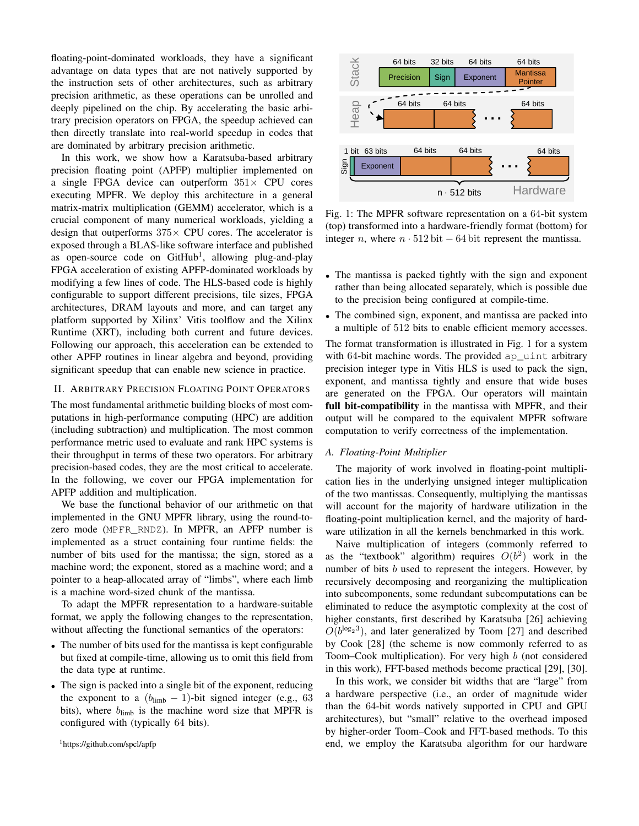floating-point-dominated workloads, they have a significant advantage on data types that are not natively supported by the instruction sets of other architectures, such as arbitrary precision arithmetic, as these operations can be unrolled and deeply pipelined on the chip. By accelerating the basic arbitrary precision operators on FPGA, the speedup achieved can then directly translate into real-world speedup in codes that are dominated by arbitrary precision arithmetic.

In this work, we show how a Karatsuba-based arbitrary precision floating point (APFP) multiplier implemented on a single FPGA device can outperform  $351\times$  CPU cores executing MPFR. We deploy this architecture in a general matrix-matrix multiplication (GEMM) accelerator, which is a crucial component of many numerical workloads, yielding a design that outperforms  $375\times$  CPU cores. The accelerator is exposed through a BLAS-like software interface and published as open-source code on GitHub<sup>[1](#page-1-0)</sup>, allowing plug-and-play FPGA acceleration of existing APFP-dominated workloads by modifying a few lines of code. The HLS-based code is highly configurable to support different precisions, tile sizes, FPGA architectures, DRAM layouts and more, and can target any platform supported by Xilinx' Vitis toolflow and the Xilinx Runtime (XRT), including both current and future devices. Following our approach, this acceleration can be extended to other APFP routines in linear algebra and beyond, providing significant speedup that can enable new science in practice. Laurary-sonansate wonkous, use have a signineari<br>since the pinnical of the method and types that are not natively suppored by<br>the instruction sets of other architectures, such as a since<br>they precision antiumeter, as thes

## II. ARBITRARY PRECISION FLOATING POINT OPERATORS

The most fundamental arithmetic building blocks of most computations in high-performance computing (HPC) are addition (including subtraction) and multiplication. The most common performance metric used to evaluate and rank HPC systems is their throughput in terms of these two operators. For arbitrary precision-based codes, they are the most critical to accelerate. In the following, we cover our FPGA implementation for APFP addition and multiplication.

We base the functional behavior of our arithmetic on that implemented in the GNU MPFR library, using the round-tozero mode (MPFR\_RNDZ). In MPFR, an APFP number is implemented as a struct containing four runtime fields: the number of bits used for the mantissa; the sign, stored as a machine word; the exponent, stored as a machine word; and a pointer to a heap-allocated array of "limbs", where each limb is a machine word-sized chunk of the mantissa.

To adapt the MPFR representation to a hardware-suitable format, we apply the following changes to the representation, without affecting the functional semantics of the operators:

- The number of bits used for the mantissa is kept configurable but fixed at compile-time, allowing us to omit this field from the data type at runtime.
- The sign is packed into a single bit of the exponent, reducing the exponent to a  $(b_{\text{limb}} - 1)$ -bit signed integer (e.g., 63) bits), where  $b_{\text{limb}}$  is the machine word size that MPFR is configured with (typically 64 bits).

<span id="page-1-0"></span>

<span id="page-1-1"></span>

Fig. 1: The MPFR software representation on a 64-bit system (top) transformed into a hardware-friendly format (bottom) for integer *n*, where  $n \cdot 512$  bit − 64 bit represent the mantissa.

- The mantissa is packed tightly with the sign and exponent rather than being allocated separately, which is possible due to the precision being configured at compile-time.
- The combined sign, exponent, and mantissa are packed into a multiple of 512 bits to enable efficient memory accesses.

The format transformation is illustrated in [Fig. 1](#page-1-1) for a system with 64-bit machine words. The provided ap\_uint arbitrary precision integer type in Vitis HLS is used to pack the sign, exponent, and mantissa tightly and ensure that wide buses are generated on the FPGA. Our operators will maintain full bit-compatibility in the mantissa with MPFR, and their output will be compared to the equivalent MPFR software computation to verify correctness of the implementation.

## *A. Floating-Point Multiplier*

The majority of work involved in floating-point multiplication lies in the underlying unsigned integer multiplication of the two mantissas. Consequently, multiplying the mantissas will account for the majority of hardware utilization in the floating-point multiplication kernel, and the majority of hardware utilization in all the kernels benchmarked in this work.

Naive multiplication of integers (commonly referred to as the "textbook" algorithm) requires  $O(b^2)$  work in the number of bits b used to represent the integers. However, by recursively decomposing and reorganizing the multiplication into subcomponents, some redundant subcomputations can be eliminated to reduce the asymptotic complexity at the cost of higher constants, first described by Karatsuba [\[26\]](#page-8-18) achieving  $O(b^{\log_2 3})$ , and later generalized by Toom [\[27\]](#page-8-19) and described by Cook [\[28\]](#page-8-20) (the scheme is now commonly referred to as Toom–Cook multiplication). For very high b (not considered in this work), FFT-based methods become practical [\[29\]](#page-8-21), [\[30\]](#page-8-22).

In this work, we consider bit widths that are "large" from a hardware perspective (i.e., an order of magnitude wider than the 64-bit words natively supported in CPU and GPU architectures), but "small" relative to the overhead imposed by higher-order Toom–Cook and FFT-based methods. To this end, we employ the Karatsuba algorithm for our hardware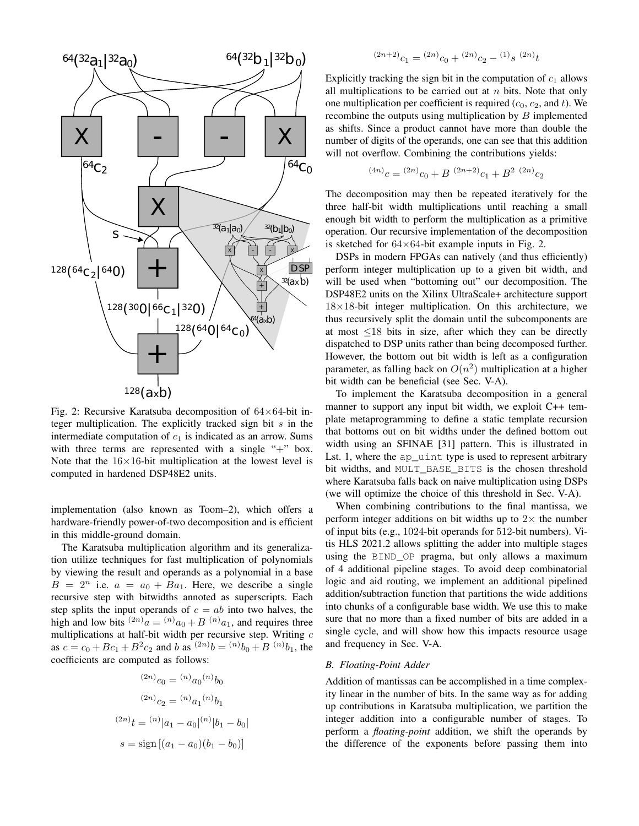<span id="page-2-0"></span>

Fig. 2: Recursive Karatsuba decomposition of  $64\times64$ -bit integer multiplication. The explicitly tracked sign bit  $s$  in the intermediate computation of  $c_1$  is indicated as an arrow. Sums with three terms are represented with a single " $+$ " box. Note that the  $16\times16$ -bit multiplication at the lowest level is computed in hardened DSP48E2 units.

implementation (also known as Toom–2), which offers a hardware-friendly power-of-two decomposition and is efficient in this middle-ground domain.

The Karatsuba multiplication algorithm and its generalization utilize techniques for fast multiplication of polynomials by viewing the result and operands as a polynomial in a base  $B = 2^n$  i.e.  $a = a_0 + Ba_1$ . Here, we describe a single recursive step with bitwidths annoted as superscripts. Each step splits the input operands of  $c = ab$  into two halves, the high and low bits  $^{(2n)}a = ^{(n)}a_0 + B^{(n)}a_1$ , and requires three multiplications at half-bit width per recursive step. Writing  $c$ as  $c = c_0 + Bc_1 + B^2c_2$  and b as  ${}^{(2n)}b = {}^{(n)}b_0 + B {}^{(n)}b_1$ , the coefficients are computed as follows:

$$
^{(2n)}c_0 = {}^{(n)}a_0 {}^{(n)}b_0
$$

$$
{}^{(2n)}c_2 = {}^{(n)}a_1 {}^{(n)}b_1
$$

$$
{}^{(2n)}t = {}^{(n)}|a_1 - a_0 | {}^{(n)}|b_1 - b_0|
$$

$$
s = sign [(a_1 - a_0)(b_1 - b_0)]
$$

$$
^{(2n+2)}c_1 = {^{(2n)}}c_0 + {^{(2n)}}c_2 - {^{(1)}}s {^{(2n)}}t
$$

Explicitly tracking the sign bit in the computation of  $c_1$  allows all multiplications to be carried out at  $n$  bits. Note that only one multiplication per coefficient is required  $(c_0, c_2,$  and t). We recombine the outputs using multiplication by  $B$  implemented as shifts. Since a product cannot have more than double the number of digits of the operands, one can see that this addition will not overflow. Combining the contributions yields:

$$
^{(4n)}c = {}^{(2n)}c_0 + B {}^{(2n+2)}c_1 + B^2 {}^{(2n)}c_2
$$

The decomposition may then be repeated iteratively for the three half-bit width multiplications until reaching a small enough bit width to perform the multiplication as a primitive operation. Our recursive implementation of the decomposition is sketched for  $64\times64$ -bit example inputs in [Fig. 2.](#page-2-0)

DSPs in modern FPGAs can natively (and thus efficiently) perform integer multiplication up to a given bit width, and will be used when "bottoming out" our decomposition. The DSP48E2 units on the Xilinx UltraScale+ architecture support  $18\times18$ -bit integer multiplication. On this architecture, we thus recursively split the domain until the subcomponents are at most  $\leq$ 18 bits in size, after which they can be directly dispatched to DSP units rather than being decomposed further. However, the bottom out bit width is left as a configuration parameter, as falling back on  $O(n^2)$  multiplication at a higher bit width can be beneficial (see [Sec. V-A\)](#page-5-0).

To implement the Karatsuba decomposition in a general manner to support any input bit width, we exploit C++ template metaprogramming to define a static template recursion that bottoms out on bit widths under the defined bottom out width using an SFINAE [\[31\]](#page-8-23) pattern. This is illustrated in [Lst. 1,](#page-3-0) where the ap uint type is used to represent arbitrary bit widths, and MULT\_BASE\_BITS is the chosen threshold where Karatsuba falls back on naive multiplication using DSPs (we will optimize the choice of this threshold in [Sec. V-A\)](#page-5-0).

When combining contributions to the final mantissa, we perform integer additions on bit widths up to  $2\times$  the number of input bits (e.g., 1024-bit operands for 512-bit numbers). Vitis HLS 2021.2 allows splitting the adder into multiple stages using the BIND\_OP pragma, but only allows a maximum of 4 additional pipeline stages. To avoid deep combinatorial logic and aid routing, we implement an additional pipelined addition/subtraction function that partitions the wide additions into chunks of a configurable base width. We use this to make sure that no more than a fixed number of bits are added in a single cycle, and will show how this impacts resource usage and frequency in [Sec. V-A.](#page-5-0)

## *B. Floating-Point Adder*

Addition of mantissas can be accomplished in a time complexity linear in the number of bits. In the same way as for adding up contributions in Karatsuba multiplication, we partition the integer addition into a configurable number of stages. To perform a *floating-point* addition, we shift the operands by the difference of the exponents before passing them into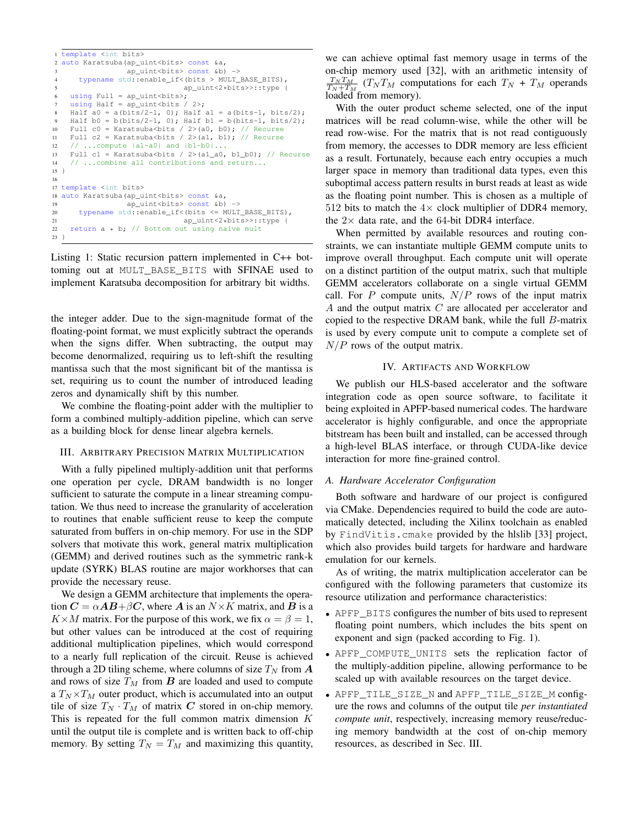```
1 template <int bits>
2 auto Karatsuba(ap_uint<bits> const &a,
                  ap_uint<br/>bits> const &b) ->
      4 typename std::enable_if<(bits > MULT_BASE_BITS),
                               5 ap_uint<2*bits>>::type {
    using Full = ap\_uint < bits>;
    using Half = ap\_uint < bits / 2>;
    Half a0 = a(bits/2-1, 0); Half a1 = a(bits-1, bits/2);
    Half b0 = b(bits/2-1, 0); Half b1 = b(bits-1, bits/2);
10 Full c0 = Karatsuba<br/>sbits / 2>(a0, b0); // Recurse
11 Full c2 = Karatsuba<br/>sbits / 2>(a1, b1); // Recurse
12 // ...compute |a1-a0| and |b1-b0|...<br>
13 Full c1 = Karatsuba <br/>bits / 2>(al a0,
    Full c1 = Karatsuba<br/>>bits / 2>(a1_a0, b1_b0); // Recurse
14 // ...combine all contributions and return...
15 }
16
17 template <int bits>
18 auto Karatsuba(ap_uint<bits> const &a,
19 ap_uint<bits> const &b) ->
20 typename std::enable_if<(bits <= MULT_BASE_BITS),
21 ap_uint<2*bits>>::type {
22 return a * b; // Bottom out using naive mult
23 }
```
Listing 1: Static recursion pattern implemented in C++ bottoming out at MULT\_BASE\_BITS with SFINAE used to implement Karatsuba decomposition for arbitrary bit widths.

the integer adder. Due to the sign-magnitude format of the floating-point format, we must explicitly subtract the operands when the signs differ. When subtracting, the output may become denormalized, requiring us to left-shift the resulting mantissa such that the most significant bit of the mantissa is set, requiring us to count the number of introduced leading zeros and dynamically shift by this number.

We combine the floating-point adder with the multiplier to form a combined multiply-addition pipeline, which can serve as a building block for dense linear algebra kernels.

## <span id="page-3-1"></span>III. ARBITRARY PRECISION MATRIX MULTIPLICATION

With a fully pipelined multiply-addition unit that performs one operation per cycle, DRAM bandwidth is no longer sufficient to saturate the compute in a linear streaming computation. We thus need to increase the granularity of acceleration to routines that enable sufficient reuse to keep the compute saturated from buffers in on-chip memory. For use in the SDP solvers that motivate this work, general matrix multiplication (GEMM) and derived routines such as the symmetric rank-k update (SYRK) BLAS routine are major workhorses that can provide the necessary reuse.

We design a GEMM architecture that implements the operation  $C = \alpha AB + \beta C$ , where A is an  $N \times K$  matrix, and B is a  $K\times M$  matrix. For the purpose of this work, we fix  $\alpha = \beta = 1$ , but other values can be introduced at the cost of requiring additional multiplication pipelines, which would correspond to a nearly full replication of the circuit. Reuse is achieved through a 2D tiling scheme, where columns of size  $T_N$  from  $\boldsymbol{A}$ and rows of size  $T_M$  from  $\boldsymbol{B}$  are loaded and used to compute a  $T_N \times T_M$  outer product, which is accumulated into an output tile of size  $T_N \cdot T_M$  of matrix C stored in on-chip memory. This is repeated for the full common matrix dimension  $K$ until the output tile is complete and is written back to off-chip memory. By setting  $T_N = T_M$  and maximizing this quantity,

we can achieve optimal fast memory usage in terms of the on-chip memory used [\[32\]](#page-8-24), with an arithmetic intensity of  $\frac{T_N T_M}{T_N + T_M}$  ( $T_N T_M$  computations for each  $T_N + T_M$  operands loaded from memory).

With the outer product scheme selected, one of the input matrices will be read column-wise, while the other will be read row-wise. For the matrix that is not read contiguously from memory, the accesses to DDR memory are less efficient as a result. Fortunately, because each entry occupies a much larger space in memory than traditional data types, even this suboptimal access pattern results in burst reads at least as wide as the floating point number. This is chosen as a multiple of 512 bits to match the  $4 \times$  clock multiplier of DDR4 memory, the  $2\times$  data rate, and the 64-bit DDR4 interface.

When permitted by available resources and routing constraints, we can instantiate multiple GEMM compute units to improve overall throughput. Each compute unit will operate on a distinct partition of the output matrix, such that multiple GEMM accelerators collaborate on a single virtual GEMM call. For P compute units,  $N/P$  rows of the input matrix A and the output matrix C are allocated per accelerator and copied to the respective DRAM bank, while the full B-matrix is used by every compute unit to compute a complete set of  $N/P$  rows of the output matrix.

## IV. ARTIFACTS AND WORKFLOW

We publish our HLS-based accelerator and the software integration code as open source software, to facilitate it being exploited in APFP-based numerical codes. The hardware accelerator is highly configurable, and once the appropriate bitstream has been built and installed, can be accessed through a high-level BLAS interface, or through CUDA-like device interaction for more fine-grained control.

#### *A. Hardware Accelerator Configuration*

Both software and hardware of our project is configured via CMake. Dependencies required to build the code are automatically detected, including the Xilinx toolchain as enabled by FindVitis.cmake provided by the hlslib [\[33\]](#page-8-25) project, which also provides build targets for hardware and hardware emulation for our kernels.

As of writing, the matrix multiplication accelerator can be configured with the following parameters that customize its resource utilization and performance characteristics:

- APFP\_BITS configures the number of bits used to represent floating point numbers, which includes the bits spent on exponent and sign (packed according to [Fig. 1\)](#page-1-1).
- APFP\_COMPUTE\_UNITS sets the replication factor of the multiply-addition pipeline, allowing performance to be scaled up with available resources on the target device.
- APFP\_TILE\_SIZE\_N and APFP\_TILE\_SIZE\_M configure the rows and columns of the output tile *per instantiated compute unit*, respectively, increasing memory reuse/reducing memory bandwidth at the cost of on-chip memory resources, as described in [Sec. III.](#page-3-1)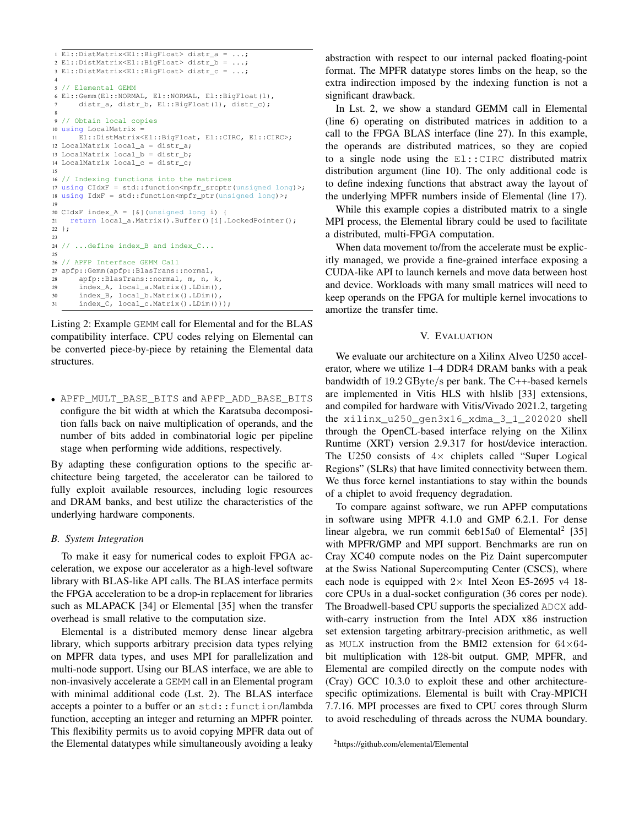```
1 El::DistMatrix<El::BigFloat> distr_a = ...;
2 El::DistMatrix<El::BigFloat> distr_b = ...;
3 El::DistMatrix<El::BigFloat> distr_c = ...;
 4
5 // Elemental GEMM
6 El::Gemm(El::NORMAL, El::NORMAL, El::BigFloat(1),
      distr_a, distr_b, El::BigFloat(1), distr_c);
 8
9 // Obtain local copies
10 using LocalMatrix =
11 El::DistMatrix<El::BigFloat, El::CIRC, El::CIRC>;
12 LocalMatrix local_a = distr_a;
13 LocalMatrix local_b = distr_b;14 LocalMatrix local_c = distr_c;
15
16 // Indexing functions into the matrices
17 using CIdxF = std::function<math>\langle mpfrr\_srcptr/(unsigned\_long) \rangle;
18 using IdxF = std::function<mpfr_ptr(unsigned long)>;
19
20 CIdxF index_A = [6] (unsigned long i) {
21 return local_a.Matrix().Buffer()[i].LockedPointer();
22 };
23
24 // ...define index B and index C...
25
26 // APFP Interface GEMM Call
27 apfp::Gemm(apfp::BlasTrans::normal,
28 apfp::BlasTrans::normal, m, n, k,
29 index_A, local_a.Matrix().LDim(),
30 index_B, local_b.Matrix().LDim(),
31 index_C, local_c.Matrix().LDim()));
```
Listing 2: Example GEMM call for Elemental and for the BLAS compatibility interface. CPU codes relying on Elemental can be converted piece-by-piece by retaining the Elemental data structures.

• APFP\_MULT\_BASE\_BITS and APFP\_ADD\_BASE\_BITS configure the bit width at which the Karatsuba decomposition falls back on naive multiplication of operands, and the number of bits added in combinatorial logic per pipeline stage when performing wide additions, respectively.

By adapting these configuration options to the specific architecture being targeted, the accelerator can be tailored to fully exploit available resources, including logic resources and DRAM banks, and best utilize the characteristics of the underlying hardware components.

## <span id="page-4-1"></span>*B. System Integration*

To make it easy for numerical codes to exploit FPGA acceleration, we expose our accelerator as a high-level software library with BLAS-like API calls. The BLAS interface permits the FPGA acceleration to be a drop-in replacement for libraries such as MLAPACK [\[34\]](#page-8-26) or Elemental [\[35\]](#page-8-27) when the transfer overhead is small relative to the computation size.

Elemental is a distributed memory dense linear algebra library, which supports arbitrary precision data types relying on MPFR data types, and uses MPI for parallelization and multi-node support. Using our BLAS interface, we are able to non-invasively accelerate a GEMM call in an Elemental program with minimal additional code [\(Lst. 2\)](#page-4-0). The BLAS interface accepts a pointer to a buffer or an std:: function/lambda function, accepting an integer and returning an MPFR pointer. This flexibility permits us to avoid copying MPFR data out of the Elemental datatypes while simultaneously avoiding a leaky abstraction with respect to our internal packed floating-point format. The MPFR datatype stores limbs on the heap, so the extra indirection imposed by the indexing function is not a significant drawback.

In [Lst. 2,](#page-4-0) we show a standard GEMM call in Elemental (line [6\)](#page-4-1) operating on distributed matrices in addition to a call to the FPGA BLAS interface (line [27\)](#page-4-1). In this example, the operands are distributed matrices, so they are copied to a single node using the El::CIRC distributed matrix distribution argument (line [10\)](#page-4-1). The only additional code is to define indexing functions that abstract away the layout of the underlying MPFR numbers inside of Elemental (line [17\)](#page-4-1).

While this example copies a distributed matrix to a single MPI process, the Elemental library could be used to facilitate a distributed, multi-FPGA computation.

When data movement to/from the accelerate must be explicitly managed, we provide a fine-grained interface exposing a CUDA-like API to launch kernels and move data between host and device. Workloads with many small matrices will need to keep operands on the FPGA for multiple kernel invocations to amortize the transfer time.

#### V. EVALUATION

We evaluate our architecture on a Xilinx Alveo U250 accelerator, where we utilize 1–4 DDR4 DRAM banks with a peak bandwidth of 19.2 GByte/s per bank. The C++-based kernels are implemented in Vitis HLS with hlslib [\[33\]](#page-8-25) extensions, and compiled for hardware with Vitis/Vivado 2021.2, targeting the xilinx\_u250\_gen3x16\_xdma\_3\_1\_202020 shell through the OpenCL-based interface relying on the Xilinx Runtime (XRT) version 2.9.317 for host/device interaction. The U250 consists of  $4 \times$  chiplets called "Super Logical Regions" (SLRs) that have limited connectivity between them. We thus force kernel instantiations to stay within the bounds of a chiplet to avoid frequency degradation.

To compare against software, we run APFP computations in software using MPFR 4.1.0 and GMP 6.2.1. For dense linear algebra, we run commit 6eb15a0 of Elemental<sup>[2](#page-4-2)</sup> [\[35\]](#page-8-27) with MPFR/GMP and MPI support. Benchmarks are run on Cray XC40 compute nodes on the Piz Daint supercomputer at the Swiss National Supercomputing Center (CSCS), where each node is equipped with  $2 \times$  Intel Xeon E5-2695 v4 18core CPUs in a dual-socket configuration (36 cores per node). The Broadwell-based CPU supports the specialized ADCX addwith-carry instruction from the Intel ADX x86 instruction set extension targeting arbitrary-precision arithmetic, as well as MULX instruction from the BMI2 extension for  $64\times64$ bit multiplication with 128-bit output. GMP, MPFR, and Elemental are compiled directly on the compute nodes with (Cray) GCC 10.3.0 to exploit these and other architecturespecific optimizations. Elemental is built with Cray-MPICH 7.7.16. MPI processes are fixed to CPU cores through Slurm to avoid rescheduling of threads across the NUMA boundary.

<span id="page-4-2"></span><sup>2</sup><https://github.com/elemental/Elemental>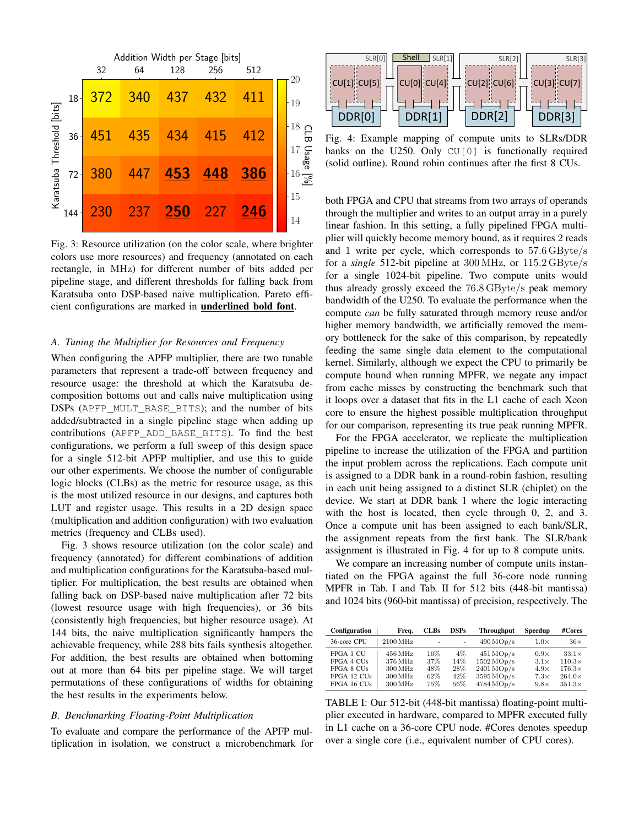<span id="page-5-1"></span>

Fig. 3: Resource utilization (on the color scale, where brighter colors use more resources) and frequency (annotated on each rectangle, in MHz) for different number of bits added per pipeline stage, and different thresholds for falling back from Karatsuba onto DSP-based naive multiplication. Pareto efficient configurations are marked in underlined bold font.

# <span id="page-5-0"></span>*A. Tuning the Multiplier for Resources and Frequency*

When configuring the APFP multiplier, there are two tunable parameters that represent a trade-off between frequency and resource usage: the threshold at which the Karatsuba decomposition bottoms out and calls naive multiplication using DSPs (APFP\_MULT\_BASE\_BITS); and the number of bits added/subtracted in a single pipeline stage when adding up contributions (APFP\_ADD\_BASE\_BITS). To find the best configurations, we perform a full sweep of this design space for a single 512-bit APFP multiplier, and use this to guide our other experiments. We choose the number of configurable logic blocks (CLBs) as the metric for resource usage, as this is the most utilized resource in our designs, and captures both LUT and register usage. This results in a 2D design space (multiplication and addition configuration) with two evaluation metrics (frequency and CLBs used).

[Fig. 3](#page-5-1) shows resource utilization (on the color scale) and frequency (annotated) for different combinations of addition and multiplication configurations for the Karatsuba-based multiplier. For multiplication, the best results are obtained when falling back on DSP-based naive multiplication after 72 bits (lowest resource usage with high frequencies), or 36 bits (consistently high frequencies, but higher resource usage). At 144 bits, the naive multiplication significantly hampers the achievable frequency, while 288 bits fails synthesis altogether. For addition, the best results are obtained when bottoming out at more than 64 bits per pipeline stage. We will target permutations of these configurations of widths for obtaining the best results in the experiments below.

## *B. Benchmarking Floating-Point Multiplication*

To evaluate and compare the performance of the APFP multiplication in isolation, we construct a microbenchmark for

<span id="page-5-2"></span>

Fig. 4: Example mapping of compute units to SLRs/DDR banks on the U250. Only CU[0] is functionally required (solid outline). Round robin continues after the first 8 CUs.

both FPGA and CPU that streams from two arrays of operands through the multiplier and writes to an output array in a purely linear fashion. In this setting, a fully pipelined FPGA multiplier will quickly become memory bound, as it requires 2 reads and 1 write per cycle, which corresponds to 57.6 GByte/s for a *single* 512-bit pipeline at 300 MHz, or 115.2 GByte/s for a single 1024-bit pipeline. Two compute units would thus already grossly exceed the 76.8 GByte/s peak memory bandwidth of the U250. To evaluate the performance when the compute *can* be fully saturated through memory reuse and/or higher memory bandwidth, we artificially removed the memory bottleneck for the sake of this comparison, by repeatedly feeding the same single data element to the computational kernel. Similarly, although we expect the CPU to primarily be compute bound when running MPFR, we negate any impact from cache misses by constructing the benchmark such that it loops over a dataset that fits in the L1 cache of each Xeon core to ensure the highest possible multiplication throughput for our comparison, representing its true peak running MPFR.

For the FPGA accelerator, we replicate the multiplication pipeline to increase the utilization of the FPGA and partition the input problem across the replications. Each compute unit is assigned to a DDR bank in a round-robin fashion, resulting in each unit being assigned to a distinct SLR (chiplet) on the device. We start at DDR bank 1 where the logic interacting with the host is located, then cycle through 0, 2, and 3. Once a compute unit has been assigned to each bank/SLR, the assignment repeats from the first bank. The SLR/bank assignment is illustrated in [Fig. 4](#page-5-2) for up to 8 compute units.

We compare an increasing number of compute units instantiated on the FPGA against the full 36-core node running MPFR in [Tab. I](#page-5-3) and [Tab. II](#page-6-0) for 512 bits (448-bit mantissa) and 1024 bits (960-bit mantissa) of precision, respectively. The

<span id="page-5-3"></span>

| <b>Configuration</b>                                 | Frea.                                                                        | <b>CLBs</b>              | <b>DSPs</b>             | <b>Throughput</b>                                                                           | Speedup                                                  | #Cores                                                          |
|------------------------------------------------------|------------------------------------------------------------------------------|--------------------------|-------------------------|---------------------------------------------------------------------------------------------|----------------------------------------------------------|-----------------------------------------------------------------|
| 36-core CPU                                          | $2100\,\mathrm{MHz}$                                                         | ٠                        |                         | $490 \text{ MOD/s}$                                                                         | $1.0\times$                                              | $36\times$                                                      |
| FPGA 1 CU<br>FPGA 4 CUs<br>FPGA 8 CUs<br>FPGA 12 CUs | $456\,\mathrm{MHz}$<br>376 MHz<br>$300\,\mathrm{MHz}$<br>$300\,\mathrm{MHz}$ | 16%<br>37%<br>48%<br>62% | 4%<br>14%<br>28%<br>42% | $451 \text{ MOD/s}$<br>$1502 \text{ MOD/s}$<br>$2401 \text{ MOD/s}$<br>$3595 \text{ MOD/s}$ | $0.9\times$<br>$3.1\times$<br>$4.9\times$<br>$7.3\times$ | $33.1\times$<br>$110.3\times$<br>$176.3\times$<br>$264.0\times$ |
| FPGA 16 CUs                                          | $300\,\mathrm{MHz}$                                                          | 75%                      | 56%                     | $4784 \text{ MOD/s}$                                                                        | $9.8\times$                                              | $351.3\times$                                                   |

TABLE I: Our 512-bit (448-bit mantissa) floating-point multiplier executed in hardware, compared to MPFR executed fully in L1 cache on a 36-core CPU node. #Cores denotes speedup over a single core (i.e., equivalent number of CPU cores).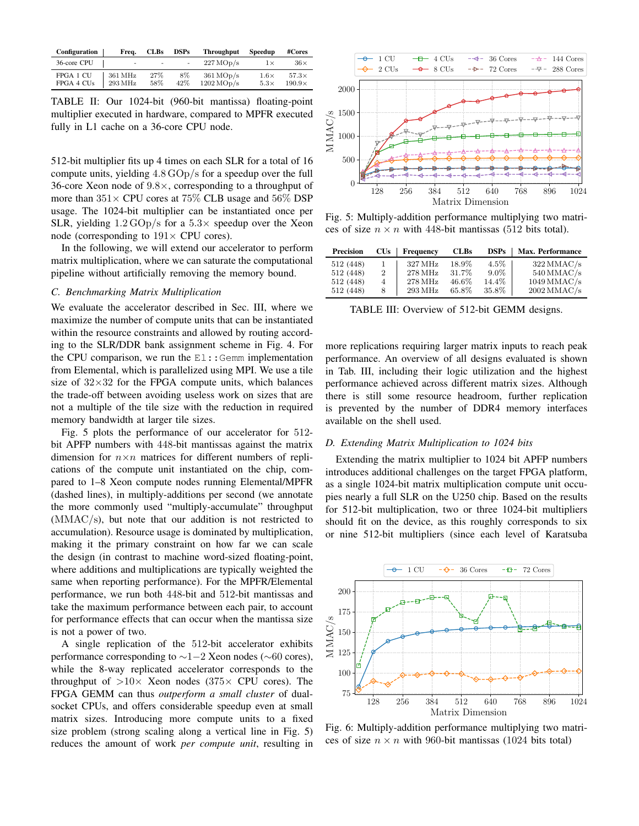<span id="page-6-0"></span>

| Configuration           | Freq.                                      | <b>CLBs</b> | <b>DSPs</b> | <b>Throughput</b>                              | Speedup                    | #Cores                        |
|-------------------------|--------------------------------------------|-------------|-------------|------------------------------------------------|----------------------------|-------------------------------|
| 36-core CPU             | ٠                                          | $\sim$      | $\sim$      | $227 \text{ MOD/s}$                            | 1 x                        | $36\times$                    |
| FPGA 1 CU<br>FPGA 4 CUs | $361\,\mathrm{MHz}$<br>$293\,\mathrm{MHz}$ | 27%<br>58%  | 8%<br>42\%  | $361 \text{ MOD/s}$<br>$1202 \,\mathrm{MOp/s}$ | $1.6\times$<br>$5.3\times$ | $57.3\times$<br>$190.9\times$ |

TABLE II: Our 1024-bit (960-bit mantissa) floating-point multiplier executed in hardware, compared to MPFR executed fully in L1 cache on a 36-core CPU node.

512-bit multiplier fits up 4 times on each SLR for a total of 16 compute units, yielding 4.8 GOp/s for a speedup over the full 36-core Xeon node of 9.8×, corresponding to a throughput of more than  $351\times$  CPU cores at 75% CLB usage and 56% DSP usage. The 1024-bit multiplier can be instantiated once per SLR, yielding  $1.2 \text{ GOp/s}$  for a  $5.3 \times$  speedup over the Xeon node (corresponding to  $191 \times$  CPU cores).

In the following, we will extend our accelerator to perform matrix multiplication, where we can saturate the computational pipeline without artificially removing the memory bound.

## *C. Benchmarking Matrix Multiplication*

We evaluate the accelerator described in [Sec. III,](#page-3-1) where we maximize the number of compute units that can be instantiated within the resource constraints and allowed by routing according to the SLR/DDR bank assignment scheme in [Fig. 4.](#page-5-2) For the CPU comparison, we run the  $E1$ : Gemm implementation from Elemental, which is parallelized using MPI. We use a tile size of  $32\times32$  for the FPGA compute units, which balances the trade-off between avoiding useless work on sizes that are not a multiple of the tile size with the reduction in required memory bandwidth at larger tile sizes.

[Fig. 5](#page-6-1) plots the performance of our accelerator for 512 bit APFP numbers with 448-bit mantissas against the matrix dimension for  $n \times n$  matrices for different numbers of replications of the compute unit instantiated on the chip, compared to 1–8 Xeon compute nodes running Elemental/MPFR (dashed lines), in multiply-additions per second (we annotate the more commonly used "multiply-accumulate" throughput (MMAC/s), but note that our addition is not restricted to accumulation). Resource usage is dominated by multiplication, making it the primary constraint on how far we can scale the design (in contrast to machine word-sized floating-point, where additions and multiplications are typically weighted the same when reporting performance). For the MPFR/Elemental performance, we run both 448-bit and 512-bit mantissas and take the maximum performance between each pair, to account for performance effects that can occur when the mantissa size is not a power of two.

A single replication of the 512-bit accelerator exhibits performance corresponding to  $\sim$ 1−2 Xeon nodes ( $\sim$ 60 cores), while the 8-way replicated accelerator corresponds to the throughput of  $>10\times$  Xeon nodes (375 $\times$  CPU cores). The FPGA GEMM can thus *outperform a small cluster* of dualsocket CPUs, and offers considerable speedup even at small matrix sizes. Introducing more compute units to a fixed size problem (strong scaling along a vertical line in [Fig. 5\)](#page-6-1) reduces the amount of work *per compute unit*, resulting in

<span id="page-6-1"></span>

Fig. 5: Multiply-addition performance multiplying two matrices of size  $n \times n$  with 448-bit mantissas (512 bits total).

<span id="page-6-2"></span>

| <b>Precision</b> | CUs | Frequency | <b>CLBs</b> | <b>DSPs</b> | <b>Max. Performance</b> |
|------------------|-----|-----------|-------------|-------------|-------------------------|
| 512 (448)        |     | 327 MHz   | 18.9%       | $4.5\%$     | $322$ MMAC/s            |
| 512 (448)        | 2   | 278 MHz   | 31.7%       | $9.0\%$     | $540$ MMAC/s            |
| 512 (448)        | 4   | 278 MHz   | 46.6%       | 14.4%       | $1049$ MMAC/s           |
| 512 (448)        | 8   | 293 MHz   | 65.8%       | 35.8%       | $2002$ MMAC/s           |

TABLE III: Overview of 512-bit GEMM designs.

more replications requiring larger matrix inputs to reach peak performance. An overview of all designs evaluated is shown in [Tab. III,](#page-6-2) including their logic utilization and the highest performance achieved across different matrix sizes. Although there is still some resource headroom, further replication is prevented by the number of DDR4 memory interfaces available on the shell used.

#### *D. Extending Matrix Multiplication to 1024 bits*

Extending the matrix multiplier to 1024 bit APFP numbers introduces additional challenges on the target FPGA platform, as a single 1024-bit matrix multiplication compute unit occupies nearly a full SLR on the U250 chip. Based on the results for 512-bit multiplication, two or three 1024-bit multipliers should fit on the device, as this roughly corresponds to six or nine 512-bit multipliers (since each level of Karatsuba

<span id="page-6-3"></span>

Fig. 6: Multiply-addition performance multiplying two matrices of size  $n \times n$  with 960-bit mantissas (1024 bits total)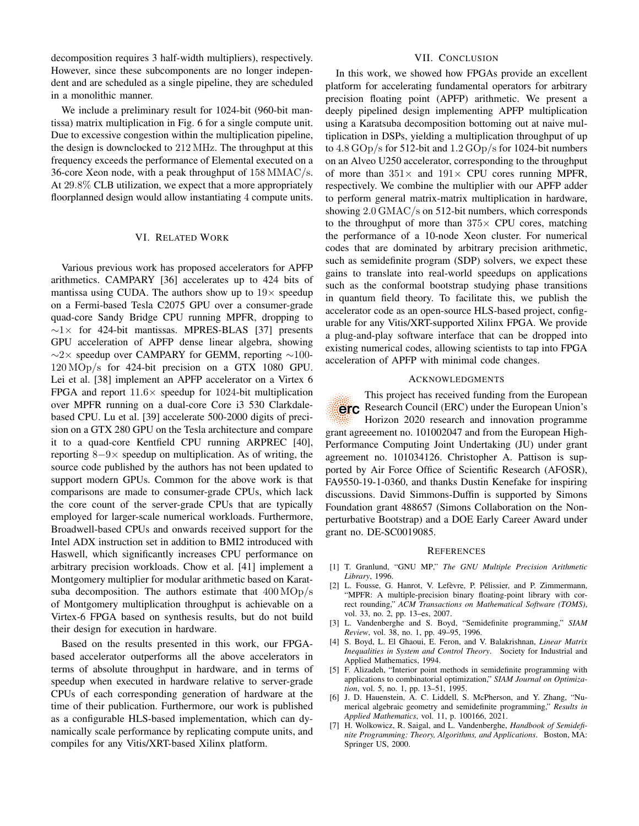decomposition requires 3 half-width multipliers), respectively. However, since these subcomponents are no longer independent and are scheduled as a single pipeline, they are scheduled in a monolithic manner.

We include a preliminary result for 1024-bit (960-bit mantissa) matrix multiplication in [Fig. 6](#page-6-3) for a single compute unit. Due to excessive congestion within the multiplication pipeline, the design is downclocked to 212 MHz. The throughput at this frequency exceeds the performance of Elemental executed on a 36-core Xeon node, with a peak throughput of 158 MMAC/s. At 29.8% CLB utilization, we expect that a more appropriately floorplanned design would allow instantiating 4 compute units.

## VI. RELATED WORK

Various previous work has proposed accelerators for APFP arithmetics. CAMPARY [\[36\]](#page-8-28) accelerates up to 424 bits of mantissa using CUDA. The authors show up to  $19\times$  speedup on a Fermi-based Tesla C2075 GPU over a consumer-grade quad-core Sandy Bridge CPU running MPFR, dropping to  $~\sim$ 1 $\times$  for 424-bit mantissas. MPRES-BLAS [\[37\]](#page-8-29) presents GPU acceleration of APFP dense linear algebra, showing  $\sim$ 2× speedup over CAMPARY for GEMM, reporting  $\sim$ 100-120 MOp/s for 424-bit precision on a GTX 1080 GPU. Lei et al. [\[38\]](#page-8-30) implement an APFP accelerator on a Virtex 6 FPGA and report  $11.6\times$  speedup for 1024-bit multiplication over MPFR running on a dual-core Core i3 530 Clarkdalebased CPU. Lu et al. [\[39\]](#page-8-31) accelerate 500-2000 digits of precision on a GTX 280 GPU on the Tesla architecture and compare it to a quad-core Kentfield CPU running ARPREC [\[40\]](#page-8-32), reporting  $8-9\times$  speedup on multiplication. As of writing, the source code published by the authors has not been updated to support modern GPUs. Common for the above work is that comparisons are made to consumer-grade CPUs, which lack the core count of the server-grade CPUs that are typically employed for larger-scale numerical workloads. Furthermore, Broadwell-based CPUs and onwards received support for the Intel ADX instruction set in addition to BMI2 introduced with Haswell, which significantly increases CPU performance on arbitrary precision workloads. Chow et al. [\[41\]](#page-8-33) implement a Montgomery multiplier for modular arithmetic based on Karatsuba decomposition. The authors estimate that 400 MOp/s of Montgomery multiplication throughput is achievable on a Virtex-6 FPGA based on synthesis results, but do not build their design for execution in hardware.

Based on the results presented in this work, our FPGAbased accelerator outperforms all the above accelerators in terms of absolute throughput in hardware, and in terms of speedup when executed in hardware relative to server-grade CPUs of each corresponding generation of hardware at the time of their publication. Furthermore, our work is published as a configurable HLS-based implementation, which can dynamically scale performance by replicating compute units, and compiles for any Vitis/XRT-based Xilinx platform.

## VII. CONCLUSION

In this work, we showed how FPGAs provide an excellent platform for accelerating fundamental operators for arbitrary precision floating point (APFP) arithmetic. We present a deeply pipelined design implementing APFP multiplication using a Karatsuba decomposition bottoming out at naive multiplication in DSPs, yielding a multiplication throughput of up to  $4.8 \text{ GOp/s}$  for 512-bit and  $1.2 \text{ GOp/s}$  for 1024-bit numbers on an Alveo U250 accelerator, corresponding to the throughput of more than  $351\times$  and  $191\times$  CPU cores running MPFR, respectively. We combine the multiplier with our APFP adder to perform general matrix-matrix multiplication in hardware, showing 2.0 GMAC/s on 512-bit numbers, which corresponds to the throughput of more than  $375\times$  CPU cores, matching the performance of a 10-node Xeon cluster. For numerical codes that are dominated by arbitrary precision arithmetic, such as semidefinite program (SDP) solvers, we expect these gains to translate into real-world speedups on applications such as the conformal bootstrap studying phase transitions in quantum field theory. To facilitate this, we publish the accelerator code as an open-source HLS-based project, configurable for any Vitis/XRT-supported Xilinx FPGA. We provide a plug-and-play software interface that can be dropped into existing numerical codes, allowing scientists to tap into FPGA acceleration of APFP with minimal code changes.

#### ACKNOWLEDGMENTS

This project has received funding from the European Research Council (ERC) under the European Union's erc Horizon 2020 research and innovation programme grant agreeement no. 101002047 and from the European High-Performance Computing Joint Undertaking (JU) under grant agreement no. 101034126. Christopher A. Pattison is supported by Air Force Office of Scientific Research (AFOSR), FA9550-19-1-0360, and thanks Dustin Kenefake for inspiring discussions. David Simmons-Duffin is supported by Simons Foundation grant 488657 (Simons Collaboration on the Nonperturbative Bootstrap) and a DOE Early Career Award under grant no. DE-SC0019085.

#### **REFERENCES**

- <span id="page-7-0"></span>[1] T. Granlund, "GNU MP," *The GNU Multiple Precision Arithmetic Library*, 1996.
- <span id="page-7-1"></span>[2] L. Fousse, G. Hanrot, V. Lefèvre, P. Pélissier, and P. Zimmermann, "MPFR: A multiple-precision binary floating-point library with correct rounding," *ACM Transactions on Mathematical Software (TOMS)*, vol. 33, no. 2, pp. 13–es, 2007.
- <span id="page-7-2"></span>[3] L. Vandenberghe and S. Boyd, "Semidefinite programming," *SIAM Review*, vol. 38, no. 1, pp. 49–95, 1996.
- <span id="page-7-3"></span>[4] S. Boyd, L. El Ghaoui, E. Feron, and V. Balakrishnan, *Linear Matrix Inequalities in System and Control Theory*. Society for Industrial and Applied Mathematics, 1994.
- <span id="page-7-4"></span>[5] F. Alizadeh, "Interior point methods in semidefinite programming with applications to combinatorial optimization," *SIAM Journal on Optimization*, vol. 5, no. 1, pp. 13–51, 1995.
- <span id="page-7-5"></span>[6] J. D. Hauenstein, A. C. Liddell, S. McPherson, and Y. Zhang, "Numerical algebraic geometry and semidefinite programming," *Results in Applied Mathematics*, vol. 11, p. 100166, 2021.
- <span id="page-7-6"></span>[7] H. Wolkowicz, R. Saigal, and L. Vandenberghe, *Handbook of Semidefinite Programming: Theory, Algorithms, and Applications*. Boston, MA: Springer US, 2000.